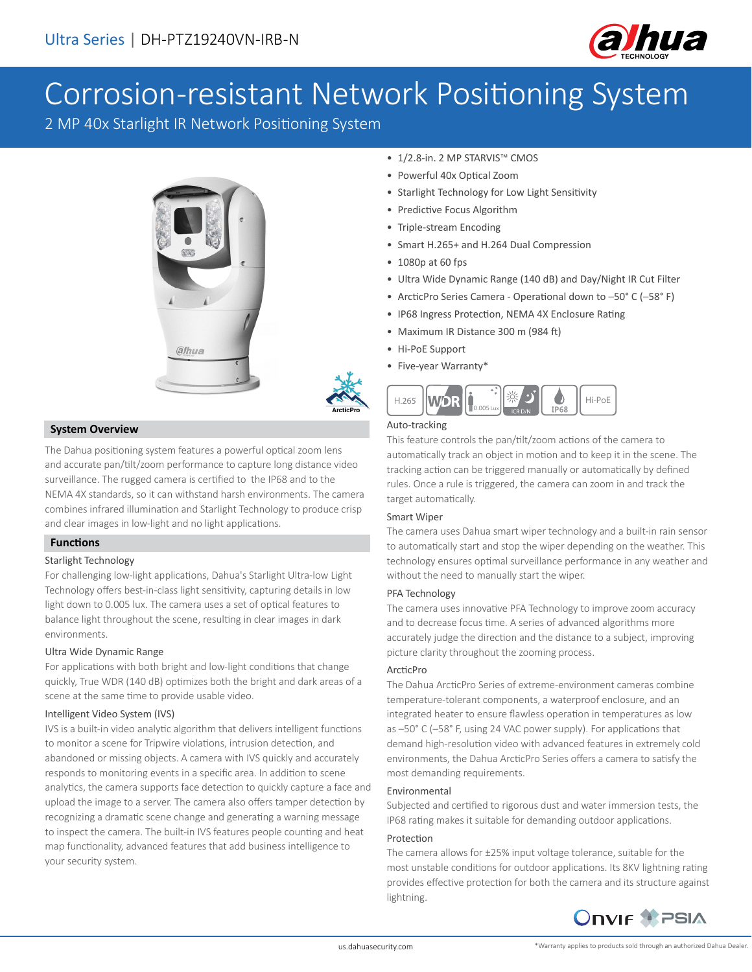

# Corrosion-resistant Network Positioning System

2 MP 40x Starlight IR Network Positioning System



## **System Overview**

The Dahua positioning system features a powerful optical zoom lens and accurate pan/tilt/zoom performance to capture long distance video surveillance. The rugged camera is certified to the IP68 and to the NEMA 4X standards, so it can withstand harsh environments. The camera combines infrared illumination and Starlight Technology to produce crisp and clear images in low-light and no light applications.

# **Functions**

#### Starlight Technology

For challenging low-light applications, Dahua's Starlight Ultra-low Light Technology offers best-in-class light sensitivity, capturing details in low light down to 0.005 lux. The camera uses a set of optical features to balance light throughout the scene, resulting in clear images in dark environments.

#### Ultra Wide Dynamic Range

For applications with both bright and low-light conditions that change quickly, True WDR (140 dB) optimizes both the bright and dark areas of a scene at the same time to provide usable video.

#### Intelligent Video System (IVS)

IVS is a built-in video analytic algorithm that delivers intelligent functions to monitor a scene for Tripwire violations, intrusion detection, and abandoned or missing objects. A camera with IVS quickly and accurately responds to monitoring events in a specific area. In addition to scene analytics, the camera supports face detection to quickly capture a face and upload the image to a server. The camera also offers tamper detection by recognizing a dramatic scene change and generating a warning message to inspect the camera. The built-in IVS features people counting and heat map functionality, advanced features that add business intelligence to your security system.

- 1/2.8-in. 2 MP STARVIS™ CMOS
- Powerful 40x Optical Zoom
- Starlight Technology for Low Light Sensitivity
- Predictive Focus Algorithm
- Triple-stream Encoding
- Smart H.265+ and H.264 Dual Compression
- 1080p at 60 fps
- Ultra Wide Dynamic Range (140 dB) and Day/Night IR Cut Filter
- ArcticPro Series Camera Operational down to –50° C (–58° F)
- IP68 Ingress Protection, NEMA 4X Enclosure Rating
- Maximum IR Distance 300 m (984 ft)
- Hi-PoE Support
- Five-year Warranty\*



#### Auto-tracking

This feature controls the pan/tilt/zoom actions of the camera to automatically track an object in motion and to keep it in the scene. The tracking action can be triggered manually or automatically by defined rules. Once a rule is triggered, the camera can zoom in and track the target automatically.

#### Smart Wiper

The camera uses Dahua smart wiper technology and a built-in rain sensor to automatically start and stop the wiper depending on the weather. This technology ensures optimal surveillance performance in any weather and without the need to manually start the wiper.

#### PFA Technology

The camera uses innovative PFA Technology to improve zoom accuracy and to decrease focus time. A series of advanced algorithms more accurately judge the direction and the distance to a subject, improving picture clarity throughout the zooming process.

#### ArcticPro

The Dahua ArcticPro Series of extreme-environment cameras combine temperature-tolerant components, a waterproof enclosure, and an integrated heater to ensure flawless operation in temperatures as low as –50° C (–58° F, using 24 VAC power supply). For applications that demand high-resolution video with advanced features in extremely cold environments, the Dahua ArcticPro Series offers a camera to satisfy the most demanding requirements.

#### Environmental

Subjected and certified to rigorous dust and water immersion tests, the IP68 rating makes it suitable for demanding outdoor applications.

#### Protection

The camera allows for ±25% input voltage tolerance, suitable for the most unstable conditions for outdoor applications. Its 8KV lightning rating provides effective protection for both the camera and its structure against lightning.

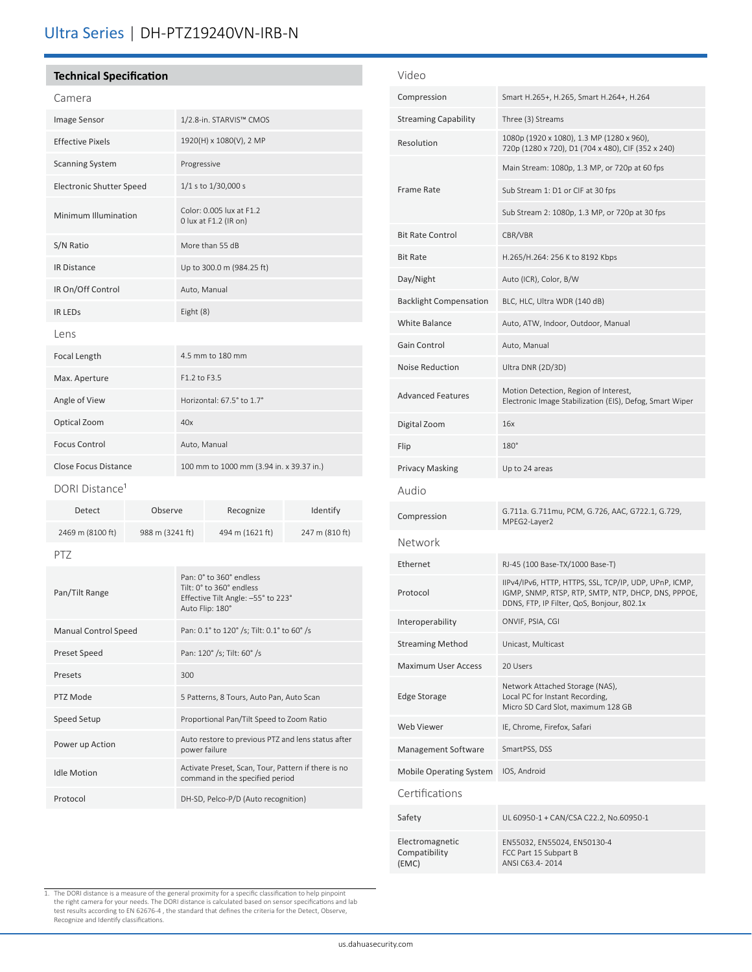# Ultra Series | DH-PTZ19240VN-IRB-N

## **Technical Specification**

| Camera                          |                                                   |
|---------------------------------|---------------------------------------------------|
| Image Sensor                    | 1/2.8-in. STARVIS™ CMOS                           |
| <b>Effective Pixels</b>         | 1920(H) x 1080(V), 2 MP                           |
| <b>Scanning System</b>          | Progressive                                       |
| <b>Electronic Shutter Speed</b> | 1/1 s to 1/30,000 s                               |
| Minimum Illumination            | Color: 0.005 lux at F1.2<br>0 lux at F1.2 (IR on) |
| S/N Ratio                       | More than 55 dB                                   |
| <b>IR Distance</b>              | Up to 300.0 m (984.25 ft)                         |
| IR On/Off Control               | Auto, Manual                                      |
| <b>IR LEDS</b>                  | Eight (8)                                         |
| Lens                            |                                                   |
| Focal Length                    | 4.5 mm to 180 mm                                  |
| Max. Aperture                   | F1.2 to F3.5                                      |
| Angle of View                   | Horizontal: 67.5° to 1.7°                         |
| Optical Zoom                    | 40x                                               |
| <b>Focus Control</b>            | Auto, Manual                                      |
| <b>Close Focus Distance</b>     | 100 mm to 1000 mm (3.94 in. x 39.37 in.)          |
|                                 |                                                   |

#### DORI Distance<sup>1</sup>

| Detect                      | Observe         |  | Recognize                                                                                                             | Identify       |  |
|-----------------------------|-----------------|--|-----------------------------------------------------------------------------------------------------------------------|----------------|--|
| 2469 m (8100 ft)            | 988 m (3241 ft) |  | 494 m (1621 ft)                                                                                                       | 247 m (810 ft) |  |
| PT7                         |                 |  |                                                                                                                       |                |  |
| Pan/Tilt Range              |                 |  | Pan: 0° to 360° endless<br>$Tilt: 0^{\circ}$ to 360° endless<br>Effective Tilt Angle: -55° to 223°<br>Auto Flip: 180° |                |  |
| <b>Manual Control Speed</b> |                 |  | Pan: 0.1° to 120° /s; Tilt: 0.1° to 60° /s                                                                            |                |  |
| <b>Preset Speed</b>         |                 |  | Pan: 120° /s; Tilt: 60° /s                                                                                            |                |  |

| <b>Preset Speed</b> | Pan: 120° /s; Tilt: 60° /s                                                             |
|---------------------|----------------------------------------------------------------------------------------|
| Presets             | 300                                                                                    |
| PTZ Mode            | 5 Patterns, 8 Tours, Auto Pan, Auto Scan                                               |
| Speed Setup         | Proportional Pan/Tilt Speed to Zoom Ratio                                              |
| Power up Action     | Auto restore to previous PTZ and lens status after<br>power failure                    |
| <b>Idle Motion</b>  | Activate Preset, Scan, Tour, Pattern if there is no<br>command in the specified period |
| Protocol            | DH-SD, Pelco-P/D (Auto recognition)                                                    |

| Video                                     |                                                                                                                                                             |
|-------------------------------------------|-------------------------------------------------------------------------------------------------------------------------------------------------------------|
| Compression                               | Smart H.265+, H.265, Smart H.264+, H.264                                                                                                                    |
| <b>Streaming Capability</b>               | Three (3) Streams                                                                                                                                           |
| Resolution                                | 1080p (1920 x 1080), 1.3 MP (1280 x 960),<br>720p (1280 x 720), D1 (704 x 480), CIF (352 x 240)                                                             |
| <b>Frame Rate</b>                         | Main Stream: 1080p, 1.3 MP, or 720p at 60 fps                                                                                                               |
|                                           | Sub Stream 1: D1 or CIF at 30 fps                                                                                                                           |
|                                           | Sub Stream 2: 1080p, 1.3 MP, or 720p at 30 fps                                                                                                              |
| <b>Bit Rate Control</b>                   | CBR/VBR                                                                                                                                                     |
| <b>Bit Rate</b>                           | H.265/H.264: 256 K to 8192 Kbps                                                                                                                             |
| Day/Night                                 | Auto (ICR), Color, B/W                                                                                                                                      |
| <b>Backlight Compensation</b>             | BLC, HLC, Ultra WDR (140 dB)                                                                                                                                |
| White Balance                             | Auto, ATW, Indoor, Outdoor, Manual                                                                                                                          |
| Gain Control                              | Auto, Manual                                                                                                                                                |
| <b>Noise Reduction</b>                    | Ultra DNR (2D/3D)                                                                                                                                           |
| <b>Advanced Features</b>                  | Motion Detection, Region of Interest,<br>Electronic Image Stabilization (EIS), Defog, Smart Wiper                                                           |
| Digital Zoom                              | 16x                                                                                                                                                         |
| Flip                                      | $180^\circ$                                                                                                                                                 |
| <b>Privacy Masking</b>                    | Up to 24 areas                                                                                                                                              |
| Audio                                     |                                                                                                                                                             |
| Compression                               | G.711a. G.711mu, PCM, G.726, AAC, G722.1, G.729,<br>MPEG2-Layer2                                                                                            |
| Network                                   |                                                                                                                                                             |
| Ethernet                                  | RJ-45 (100 Base-TX/1000 Base-T)                                                                                                                             |
| Protocol                                  | IIPv4/IPv6, HTTP, HTTPS, SSL, TCP/IP, UDP, UPnP, ICMP,<br>IGMP, SNMP, RTSP, RTP, SMTP, NTP, DHCP, DNS, PPPOE,<br>DDNS, FTP, IP Filter, QoS, Bonjour, 802.1x |
| Interoperability                          | ONVIF, PSIA, CGI                                                                                                                                            |
| <b>Streaming Method</b>                   | Unicast, Multicast                                                                                                                                          |
| <b>Maximum User Access</b>                | 20 Users                                                                                                                                                    |
| <b>Edge Storage</b>                       | Network Attached Storage (NAS),<br>Local PC for Instant Recording,<br>Micro SD Card Slot, maximum 128 GB                                                    |
| <b>Web Viewer</b>                         | IE, Chrome, Firefox, Safari                                                                                                                                 |
| Management Software                       | SmartPSS, DSS                                                                                                                                               |
| <b>Mobile Operating System</b>            | IOS, Android                                                                                                                                                |
| Certifications                            |                                                                                                                                                             |
| Safety                                    | UL 60950-1 + CAN/CSA C22.2, No.60950-1                                                                                                                      |
| Electromagnetic<br>Compatibility<br>(EMC) | EN55032, EN55024, EN50130-4<br>FCC Part 15 Subpart B<br>ANSI C63.4-2014                                                                                     |

1. The DORI distance is a measure of the general proximity for a specific classification to help pinpoint<br>the right camera for your needs. The DORI distance is calculated based on sensor specifications and lab<br>test results